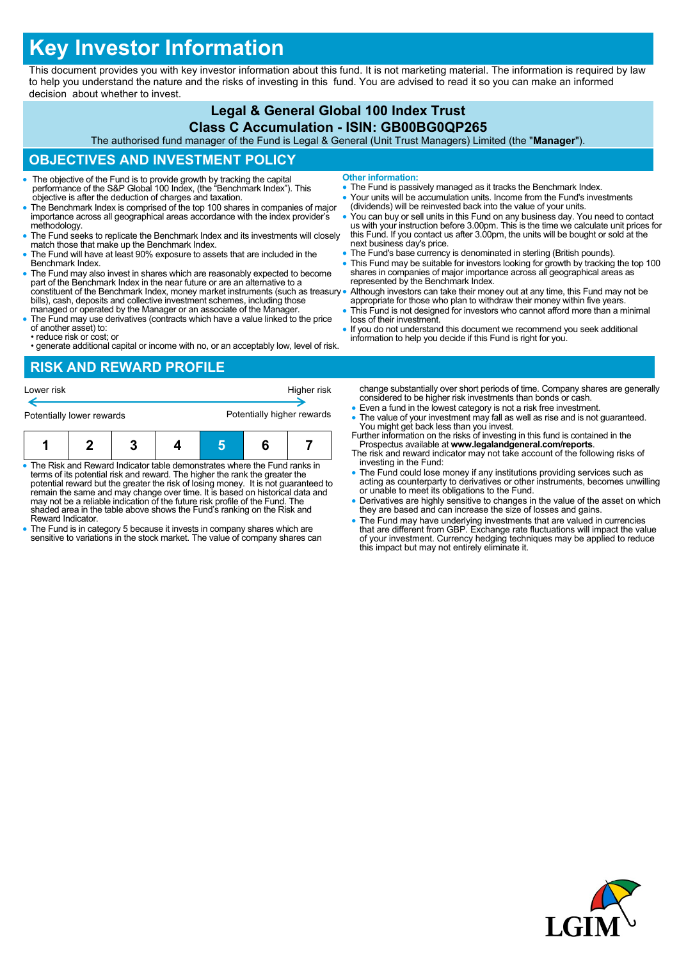# **Key Investor Information**

This document provides you with key investor information about this fund. It is not marketing material. The information is required by law to help you understand the nature and the risks of investing in this fund. You are advised to read it so you can make an informed decision about whether to invest.

## **Legal & General Global 100 Index Trust**

### **Class C Accumulation - ISIN: GB00BG0QP265**

The authorised fund manager of the Fund is Legal & General (Unit Trust Managers) Limited (the "**Manager**").

## **OBJECTIVES AND INVESTMENT POLICY**

- The objective of the Fund is to provide growth by tracking the capital performance of the S&P Global 100 Index, (the "Benchmark Index"). This objective is after the deduction of charges and taxation.
- The Benchmark Index is comprised of the top 100 shares in companies of major importance across all geographical areas accordance with the index provider's methodology.
- The Fund seeks to replicate the Benchmark Index and its investments will closely match those that make up the Benchmark Index.
- The Fund will have at least 90% exposure to assets that are included in the Benchmark Index.
- The Fund may also invest in shares which are reasonably expected to become part of the Benchmark Index in the near future or are an alternative to a constituent of the Benchmark Index, money market instruments (such as treasury . bills), cash, deposits and collective investment schemes, including those managed or operated by the Manager or an associate of the Manager.
- The Fund may use derivatives (contracts which have a value linked to the price of another asset) to: • reduce risk or cost; or
- generate additional capital or income with no, or an acceptably low, level of risk.

## **RISK AND REWARD PROFILE**

| Potentially lower rewards |  |  |  | Potentially higher rewards |  |  |  |
|---------------------------|--|--|--|----------------------------|--|--|--|
| Lower risk                |  |  |  | Higher risk                |  |  |  |

| The Risk and Reward Indicator table demonstrates where the Fund ranks in |  |  |  |  |  |  |
|--------------------------------------------------------------------------|--|--|--|--|--|--|

- The Risk and Reward Indicator table demonstrates where the Fund ranks in<br>terms of its potential risk and reward. The higher the rank the greater the<br>potential reward but the greater the risk of losing money. It is not gu may not be a reliable indication of the future risk profile of the Fund. The shaded area in the table above shows the Fund's ranking on the Risk and Reward Indicator.
- The Fund is in category 5 because it invests in company shares which are sensitive to variations in the stock market. The value of company shares can
- **Other information:**
- The Fund is passively managed as it tracks the Benchmark Index.
- Your units will be accumulation units. Income from the Fund's investments (dividends) will be reinvested back into the value of your units.
- You can buy or sell units in this Fund on any business day. You need to contact us with your instruction before 3.00pm. This is the time we calculate unit prices for this Fund. If you contact us after 3.00pm, the units will be bought or sold at the next business day's price.
- The Fund's base currency is denominated in sterling (British pounds).
- This Fund may be suitable for investors looking for growth by tracking the top 100 shares in companies of major importance across all geographical areas as represented by the Benchmark Index.
- Although investors can take their money out at any time, this Fund may not be appropriate for those who plan to withdraw their money within five years.
- This Fund is not designed for investors who cannot afford more than a minimal loss of their investment.
- If you do not understand this document we recommend you seek additional information to help you decide if this Fund is right for you.

change substantially over short periods of time. Company shares are generally considered to be higher risk investments than bonds or cash.

- Even a fund in the lowest category is not a risk free investment.
- The value of your investment may fall as well as rise and is not guaranteed. You might get back less than you invest. Further information on the risks of investing in this fund is contained in the
- Prospectus available at **www.legalandgeneral.com/reports**. The risk and reward indicator may not take account of the following risks of investing in the Fund:
- The Fund could lose money if any institutions providing services such as acting as counterparty to derivatives or other instruments, becomes unwilling or unable to meet its obligations to the Fund.
- Derivatives are highly sensitive to changes in the value of the asset on which they are based and can increase the size of losses and gains.
- The Fund may have underlying investments that are valued in currencies<br>that are different from GBP. Exchange rate fluctuations will impact the value<br>of your investment. Currency hedging techniques may be applied to reduc